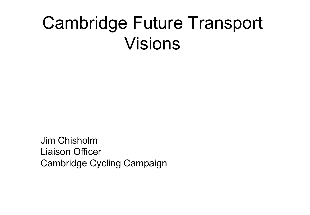#### Cambridge Future Transport Visions

Jim Chisholm Liaison Officer Cambridge Cycling Campaign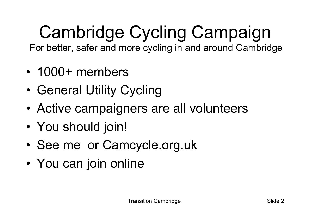## Cambridge Cycling Campaign

For better, safer and more cycling in and around Cambridge

- 1000+ members
- General Utility Cycling
- Active campaigners are all volunteers
- You should join!
- See me or Camcycle.org.uk
- You can join online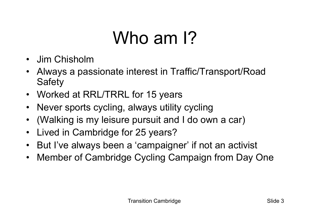### Who am 1?

- Jim Chisholm
- Always a passionate interest in Traffic/Transport/Road **Safety**
- Worked at RRL/TRRL for 15 years
- Never sports cycling, always utility cycling
- (Walking is my leisure pursuit and I do own a car)
- Lived in Cambridge for 25 years?
- But I've always been a 'campaigner' if not an activist
- Member of Cambridge Cycling Campaign from Day One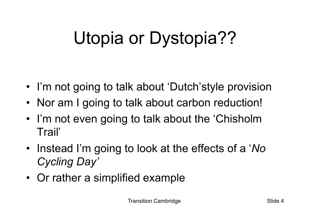## Utopia or Dystopia??

- I'm not going to talk about 'Dutch'style provision
- Nor am I going to talk about carbon reduction!
- I'm not even going to talk about the 'Chisholm Trail'
- Instead I'm going to look at the effects of a '*No Cycling Day'*
- Or rather a simplified example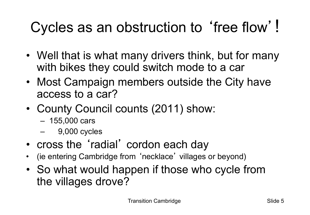#### Cycles as an obstruction to ʻfree flow'!

- Well that is what many drivers think, but for many with bikes they could switch mode to a car
- Most Campaign members outside the City have access to a car?
- County Council counts (2011) show:
	- 155,000 cars
	- 9,000 cycles
- cross the ʻradial' cordon each day
- (ie entering Cambridge from ʻnecklace' villages or beyond)
- So what would happen if those who cycle from the villages drove?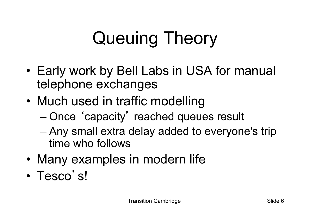## Queuing Theory

- Early work by Bell Labs in USA for manual telephone exchanges
- Much used in traffic modelling
	- Once ʻcapacity' reached queues result
	- Any small extra delay added to everyone's trip time who follows
- Many examples in modern life
- Tesco's!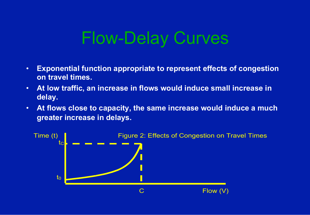#### Flow-Delay Curves

- **Exponential function appropriate to represent effects of congestion on travel times.**
- **At low traffic, an increase in flows would induce small increase in delay.**
- **At flows close to capacity, the same increase would induce a much greater increase in delays.**

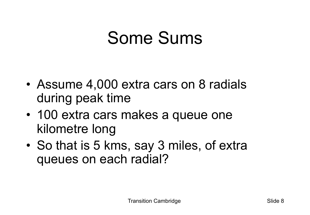#### Some Sums

- Assume 4,000 extra cars on 8 radials during peak time
- 100 extra cars makes a queue one kilometre long
- So that is 5 kms, say 3 miles, of extra queues on each radial?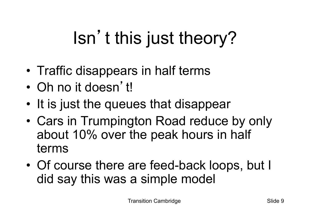## Isn't this just theory?

- Traffic disappears in half terms
- Oh no it doesn't!
- It is just the queues that disappear
- Cars in Trumpington Road reduce by only about 10% over the peak hours in half terms
- Of course there are feed-back loops, but I did say this was a simple model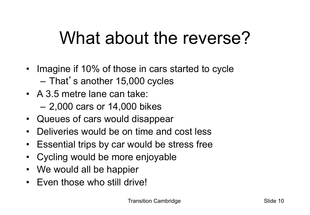#### What about the reverse?

- Imagine if 10% of those in cars started to cycle – That's another 15,000 cycles
- A 3.5 metre lane can take:
	- 2,000 cars or 14,000 bikes
- Queues of cars would disappear
- Deliveries would be on time and cost less
- Essential trips by car would be stress free
- Cycling would be more enjoyable
- We would all be happier
- Even those who still drive!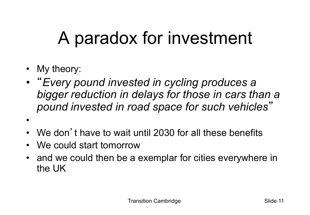#### A paradox for investment

- My theory:
- "*Every pound invested in cycling produces a bigger reduction in delays for those in cars than a pound invested in road space for such vehicles*"
- •
- We don't have to wait until 2030 for all these benefits
- We could start tomorrow
- and we could then be a exemplar for cities everywhere in the UK